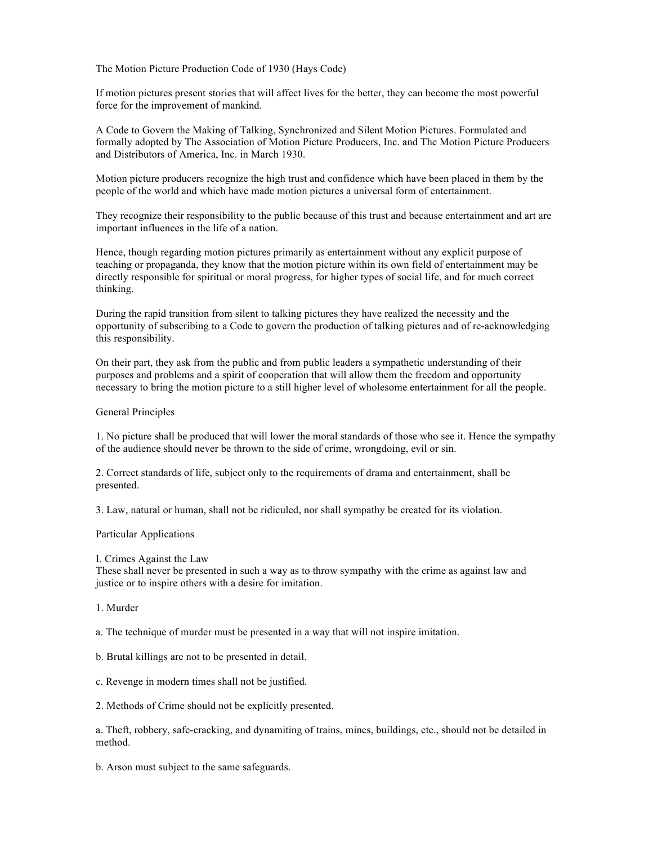The Motion Picture Production Code of 1930 (Hays Code)

If motion pictures present stories that will affect lives for the better, they can become the most powerful force for the improvement of mankind.

A Code to Govern the Making of Talking, Synchronized and Silent Motion Pictures. Formulated and formally adopted by The Association of Motion Picture Producers, Inc. and The Motion Picture Producers and Distributors of America, Inc. in March 1930.

Motion picture producers recognize the high trust and confidence which have been placed in them by the people of the world and which have made motion pictures a universal form of entertainment.

They recognize their responsibility to the public because of this trust and because entertainment and art are important influences in the life of a nation.

Hence, though regarding motion pictures primarily as entertainment without any explicit purpose of teaching or propaganda, they know that the motion picture within its own field of entertainment may be directly responsible for spiritual or moral progress, for higher types of social life, and for much correct thinking.

During the rapid transition from silent to talking pictures they have realized the necessity and the opportunity of subscribing to a Code to govern the production of talking pictures and of re-acknowledging this responsibility.

On their part, they ask from the public and from public leaders a sympathetic understanding of their purposes and problems and a spirit of cooperation that will allow them the freedom and opportunity necessary to bring the motion picture to a still higher level of wholesome entertainment for all the people.

General Principles

1. No picture shall be produced that will lower the moral standards of those who see it. Hence the sympathy of the audience should never be thrown to the side of crime, wrongdoing, evil or sin.

2. Correct standards of life, subject only to the requirements of drama and entertainment, shall be presented.

3. Law, natural or human, shall not be ridiculed, nor shall sympathy be created for its violation.

Particular Applications

I. Crimes Against the Law

These shall never be presented in such a way as to throw sympathy with the crime as against law and justice or to inspire others with a desire for imitation.

1. Murder

a. The technique of murder must be presented in a way that will not inspire imitation.

b. Brutal killings are not to be presented in detail.

c. Revenge in modern times shall not be justified.

2. Methods of Crime should not be explicitly presented.

a. Theft, robbery, safe-cracking, and dynamiting of trains, mines, buildings, etc., should not be detailed in method.

b. Arson must subject to the same safeguards.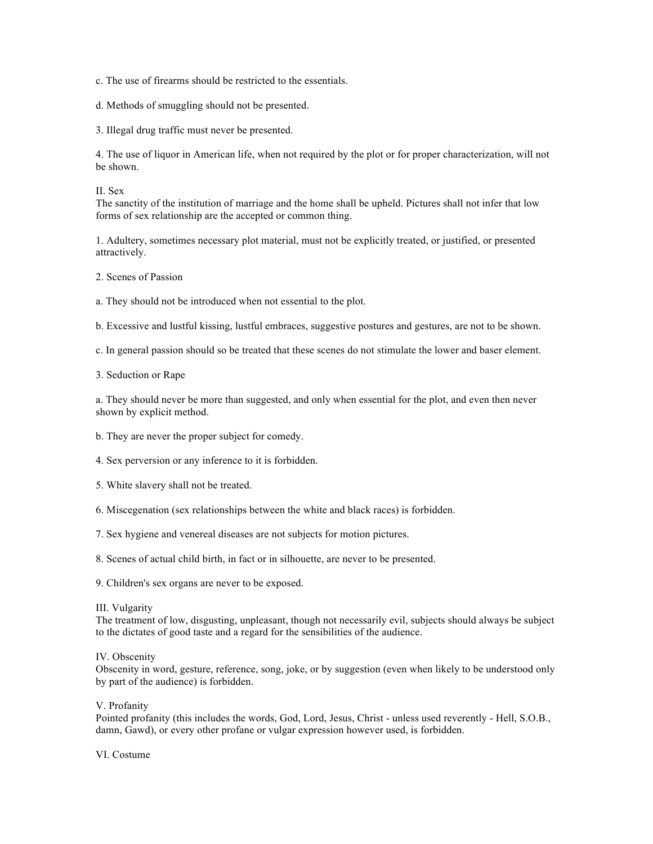c. The use of firearms should be restricted to the essentials.

d. Methods of smuggling should not be presented.

3. Illegal drug traffic must never be presented.

4. The use of liquor in American life, when not required by the plot or for proper characterization, will not be shown.

#### II. Sex

The sanctity of the institution of marriage and the home shall be upheld. Pictures shall not infer that low forms of sex relationship are the accepted or common thing.

1. Adultery, sometimes necessary plot material, must not be explicitly treated, or justified, or presented attractively.

2. Scenes of Passion

a. They should not be introduced when not essential to the plot.

b. Excessive and lustful kissing, lustful embraces, suggestive postures and gestures, are not to be shown.

c. In general passion should so be treated that these scenes do not stimulate the lower and baser element.

3. Seduction or Rape

a. They should never be more than suggested, and only when essential for the plot, and even then never shown by explicit method.

b. They are never the proper subject for comedy.

4. Sex perversion or any inference to it is forbidden.

- 5. White slavery shall not be treated.
- 6. Miscegenation (sex relationships between the white and black races) is forbidden.
- 7. Sex hygiene and venereal diseases are not subjects for motion pictures.
- 8. Scenes of actual child birth, in fact or in silhouette, are never to be presented.
- 9. Children's sex organs are never to be exposed.

#### III. Vulgarity

The treatment of low, disgusting, unpleasant, though not necessarily evil, subjects should always be subject to the dictates of good taste and a regard for the sensibilities of the audience.

## IV. Obscenity

Obscenity in word, gesture, reference, song, joke, or by suggestion (even when likely to be understood only by part of the audience) is forbidden.

### V. Profanity

Pointed profanity (this includes the words, God, Lord, Jesus, Christ - unless used reverently - Hell, S.O.B., damn, Gawd), or every other profane or vulgar expression however used, is forbidden.

#### VI. Costume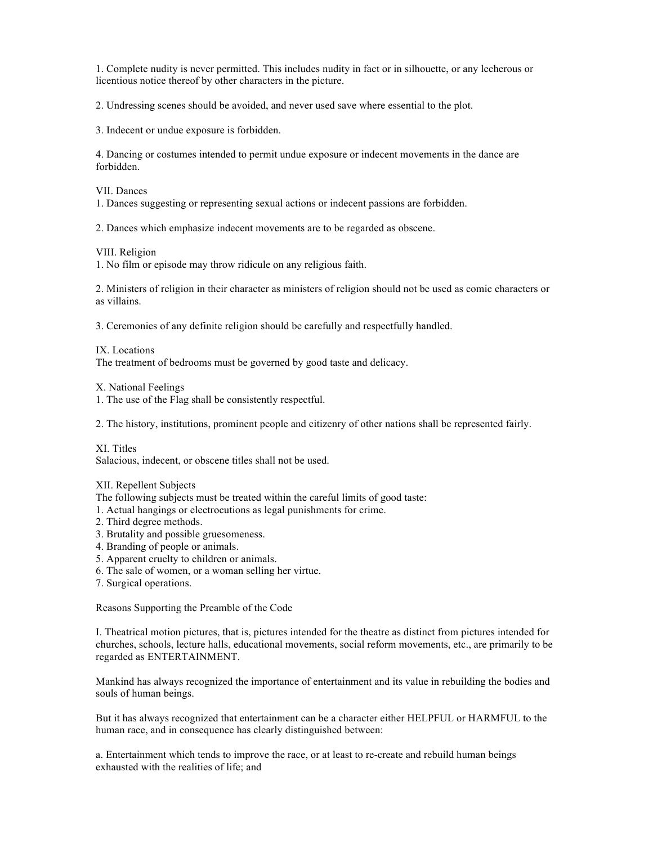1. Complete nudity is never permitted. This includes nudity in fact or in silhouette, or any lecherous or licentious notice thereof by other characters in the picture.

2. Undressing scenes should be avoided, and never used save where essential to the plot.

3. Indecent or undue exposure is forbidden.

4. Dancing or costumes intended to permit undue exposure or indecent movements in the dance are forbidden.

VII. Dances

1. Dances suggesting or representing sexual actions or indecent passions are forbidden.

2. Dances which emphasize indecent movements are to be regarded as obscene.

VIII. Religion

1. No film or episode may throw ridicule on any religious faith.

2. Ministers of religion in their character as ministers of religion should not be used as comic characters or as villains.

3. Ceremonies of any definite religion should be carefully and respectfully handled.

IX. Locations

The treatment of bedrooms must be governed by good taste and delicacy.

X. National Feelings

1. The use of the Flag shall be consistently respectful.

2. The history, institutions, prominent people and citizenry of other nations shall be represented fairly.

XI. Titles Salacious, indecent, or obscene titles shall not be used.

XII. Repellent Subjects

The following subjects must be treated within the careful limits of good taste:

1. Actual hangings or electrocutions as legal punishments for crime.

- 2. Third degree methods.
- 3. Brutality and possible gruesomeness.
- 4. Branding of people or animals.
- 5. Apparent cruelty to children or animals.
- 6. The sale of women, or a woman selling her virtue.
- 7. Surgical operations.

Reasons Supporting the Preamble of the Code

I. Theatrical motion pictures, that is, pictures intended for the theatre as distinct from pictures intended for churches, schools, lecture halls, educational movements, social reform movements, etc., are primarily to be regarded as ENTERTAINMENT.

Mankind has always recognized the importance of entertainment and its value in rebuilding the bodies and souls of human beings.

But it has always recognized that entertainment can be a character either HELPFUL or HARMFUL to the human race, and in consequence has clearly distinguished between:

a. Entertainment which tends to improve the race, or at least to re-create and rebuild human beings exhausted with the realities of life; and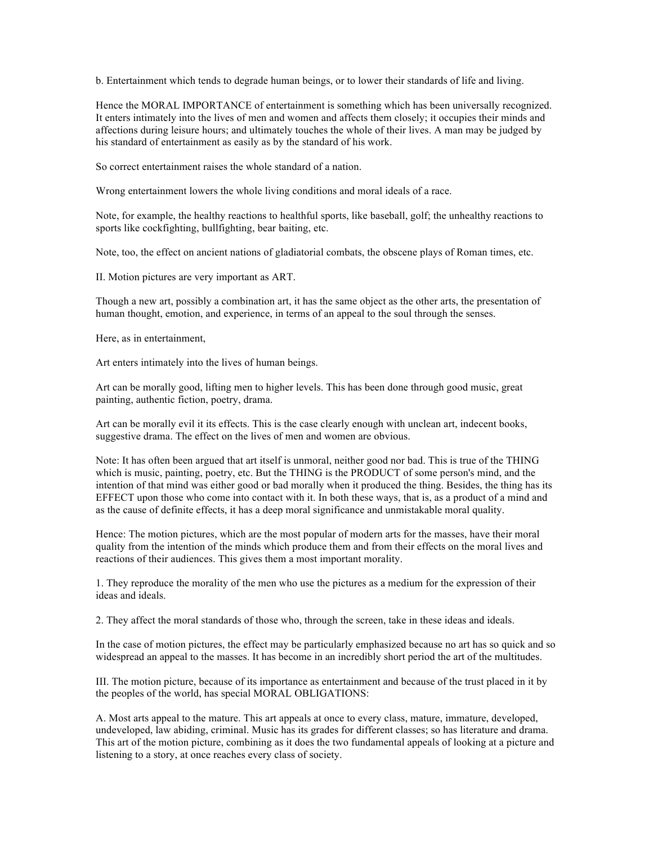b. Entertainment which tends to degrade human beings, or to lower their standards of life and living.

Hence the MORAL IMPORTANCE of entertainment is something which has been universally recognized. It enters intimately into the lives of men and women and affects them closely; it occupies their minds and affections during leisure hours; and ultimately touches the whole of their lives. A man may be judged by his standard of entertainment as easily as by the standard of his work.

So correct entertainment raises the whole standard of a nation.

Wrong entertainment lowers the whole living conditions and moral ideals of a race.

Note, for example, the healthy reactions to healthful sports, like baseball, golf; the unhealthy reactions to sports like cockfighting, bullfighting, bear baiting, etc.

Note, too, the effect on ancient nations of gladiatorial combats, the obscene plays of Roman times, etc.

II. Motion pictures are very important as ART.

Though a new art, possibly a combination art, it has the same object as the other arts, the presentation of human thought, emotion, and experience, in terms of an appeal to the soul through the senses.

Here, as in entertainment,

Art enters intimately into the lives of human beings.

Art can be morally good, lifting men to higher levels. This has been done through good music, great painting, authentic fiction, poetry, drama.

Art can be morally evil it its effects. This is the case clearly enough with unclean art, indecent books, suggestive drama. The effect on the lives of men and women are obvious.

Note: It has often been argued that art itself is unmoral, neither good nor bad. This is true of the THING which is music, painting, poetry, etc. But the THING is the PRODUCT of some person's mind, and the intention of that mind was either good or bad morally when it produced the thing. Besides, the thing has its EFFECT upon those who come into contact with it. In both these ways, that is, as a product of a mind and as the cause of definite effects, it has a deep moral significance and unmistakable moral quality.

Hence: The motion pictures, which are the most popular of modern arts for the masses, have their moral quality from the intention of the minds which produce them and from their effects on the moral lives and reactions of their audiences. This gives them a most important morality.

1. They reproduce the morality of the men who use the pictures as a medium for the expression of their ideas and ideals.

2. They affect the moral standards of those who, through the screen, take in these ideas and ideals.

In the case of motion pictures, the effect may be particularly emphasized because no art has so quick and so widespread an appeal to the masses. It has become in an incredibly short period the art of the multitudes.

III. The motion picture, because of its importance as entertainment and because of the trust placed in it by the peoples of the world, has special MORAL OBLIGATIONS:

A. Most arts appeal to the mature. This art appeals at once to every class, mature, immature, developed, undeveloped, law abiding, criminal. Music has its grades for different classes; so has literature and drama. This art of the motion picture, combining as it does the two fundamental appeals of looking at a picture and listening to a story, at once reaches every class of society.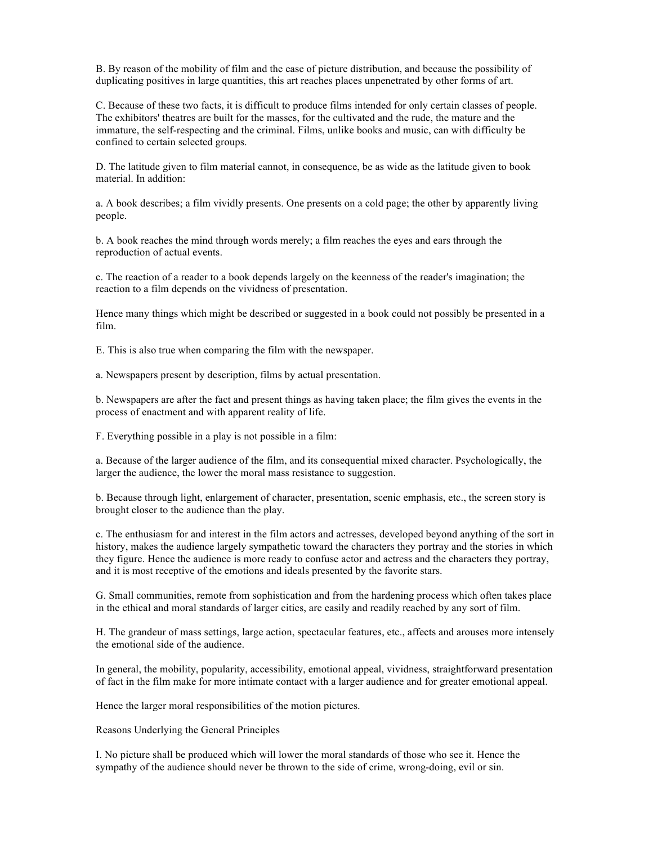B. By reason of the mobility of film and the ease of picture distribution, and because the possibility of duplicating positives in large quantities, this art reaches places unpenetrated by other forms of art.

C. Because of these two facts, it is difficult to produce films intended for only certain classes of people. The exhibitors' theatres are built for the masses, for the cultivated and the rude, the mature and the immature, the self-respecting and the criminal. Films, unlike books and music, can with difficulty be confined to certain selected groups.

D. The latitude given to film material cannot, in consequence, be as wide as the latitude given to book material. In addition:

a. A book describes; a film vividly presents. One presents on a cold page; the other by apparently living people.

b. A book reaches the mind through words merely; a film reaches the eyes and ears through the reproduction of actual events.

c. The reaction of a reader to a book depends largely on the keenness of the reader's imagination; the reaction to a film depends on the vividness of presentation.

Hence many things which might be described or suggested in a book could not possibly be presented in a film.

E. This is also true when comparing the film with the newspaper.

a. Newspapers present by description, films by actual presentation.

b. Newspapers are after the fact and present things as having taken place; the film gives the events in the process of enactment and with apparent reality of life.

F. Everything possible in a play is not possible in a film:

a. Because of the larger audience of the film, and its consequential mixed character. Psychologically, the larger the audience, the lower the moral mass resistance to suggestion.

b. Because through light, enlargement of character, presentation, scenic emphasis, etc., the screen story is brought closer to the audience than the play.

c. The enthusiasm for and interest in the film actors and actresses, developed beyond anything of the sort in history, makes the audience largely sympathetic toward the characters they portray and the stories in which they figure. Hence the audience is more ready to confuse actor and actress and the characters they portray, and it is most receptive of the emotions and ideals presented by the favorite stars.

G. Small communities, remote from sophistication and from the hardening process which often takes place in the ethical and moral standards of larger cities, are easily and readily reached by any sort of film.

H. The grandeur of mass settings, large action, spectacular features, etc., affects and arouses more intensely the emotional side of the audience.

In general, the mobility, popularity, accessibility, emotional appeal, vividness, straightforward presentation of fact in the film make for more intimate contact with a larger audience and for greater emotional appeal.

Hence the larger moral responsibilities of the motion pictures.

Reasons Underlying the General Principles

I. No picture shall be produced which will lower the moral standards of those who see it. Hence the sympathy of the audience should never be thrown to the side of crime, wrong-doing, evil or sin.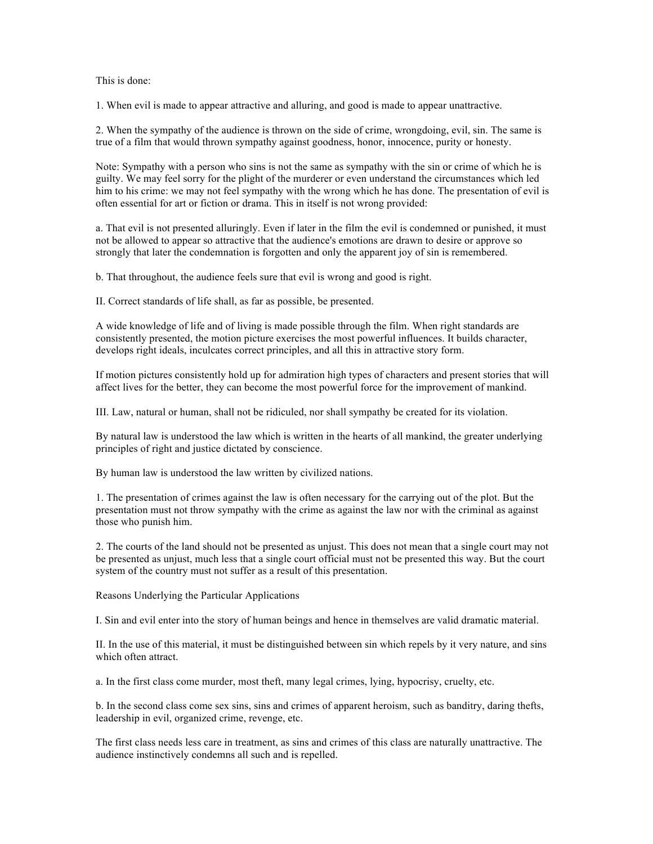This is done:

1. When evil is made to appear attractive and alluring, and good is made to appear unattractive.

2. When the sympathy of the audience is thrown on the side of crime, wrongdoing, evil, sin. The same is true of a film that would thrown sympathy against goodness, honor, innocence, purity or honesty.

Note: Sympathy with a person who sins is not the same as sympathy with the sin or crime of which he is guilty. We may feel sorry for the plight of the murderer or even understand the circumstances which led him to his crime: we may not feel sympathy with the wrong which he has done. The presentation of evil is often essential for art or fiction or drama. This in itself is not wrong provided:

a. That evil is not presented alluringly. Even if later in the film the evil is condemned or punished, it must not be allowed to appear so attractive that the audience's emotions are drawn to desire or approve so strongly that later the condemnation is forgotten and only the apparent joy of sin is remembered.

b. That throughout, the audience feels sure that evil is wrong and good is right.

II. Correct standards of life shall, as far as possible, be presented.

A wide knowledge of life and of living is made possible through the film. When right standards are consistently presented, the motion picture exercises the most powerful influences. It builds character, develops right ideals, inculcates correct principles, and all this in attractive story form.

If motion pictures consistently hold up for admiration high types of characters and present stories that will affect lives for the better, they can become the most powerful force for the improvement of mankind.

III. Law, natural or human, shall not be ridiculed, nor shall sympathy be created for its violation.

By natural law is understood the law which is written in the hearts of all mankind, the greater underlying principles of right and justice dictated by conscience.

By human law is understood the law written by civilized nations.

1. The presentation of crimes against the law is often necessary for the carrying out of the plot. But the presentation must not throw sympathy with the crime as against the law nor with the criminal as against those who punish him.

2. The courts of the land should not be presented as unjust. This does not mean that a single court may not be presented as unjust, much less that a single court official must not be presented this way. But the court system of the country must not suffer as a result of this presentation.

Reasons Underlying the Particular Applications

I. Sin and evil enter into the story of human beings and hence in themselves are valid dramatic material.

II. In the use of this material, it must be distinguished between sin which repels by it very nature, and sins which often attract.

a. In the first class come murder, most theft, many legal crimes, lying, hypocrisy, cruelty, etc.

b. In the second class come sex sins, sins and crimes of apparent heroism, such as banditry, daring thefts, leadership in evil, organized crime, revenge, etc.

The first class needs less care in treatment, as sins and crimes of this class are naturally unattractive. The audience instinctively condemns all such and is repelled.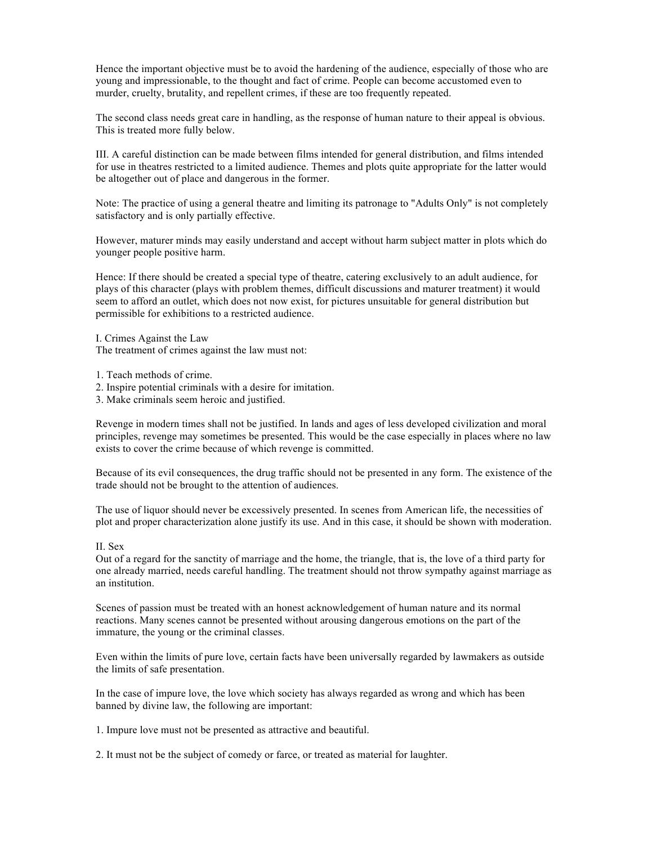Hence the important objective must be to avoid the hardening of the audience, especially of those who are young and impressionable, to the thought and fact of crime. People can become accustomed even to murder, cruelty, brutality, and repellent crimes, if these are too frequently repeated.

The second class needs great care in handling, as the response of human nature to their appeal is obvious. This is treated more fully below.

III. A careful distinction can be made between films intended for general distribution, and films intended for use in theatres restricted to a limited audience. Themes and plots quite appropriate for the latter would be altogether out of place and dangerous in the former.

Note: The practice of using a general theatre and limiting its patronage to "Adults Only" is not completely satisfactory and is only partially effective.

However, maturer minds may easily understand and accept without harm subject matter in plots which do younger people positive harm.

Hence: If there should be created a special type of theatre, catering exclusively to an adult audience, for plays of this character (plays with problem themes, difficult discussions and maturer treatment) it would seem to afford an outlet, which does not now exist, for pictures unsuitable for general distribution but permissible for exhibitions to a restricted audience.

I. Crimes Against the Law The treatment of crimes against the law must not:

- 1. Teach methods of crime.
- 2. Inspire potential criminals with a desire for imitation.
- 3. Make criminals seem heroic and justified.

Revenge in modern times shall not be justified. In lands and ages of less developed civilization and moral principles, revenge may sometimes be presented. This would be the case especially in places where no law exists to cover the crime because of which revenge is committed.

Because of its evil consequences, the drug traffic should not be presented in any form. The existence of the trade should not be brought to the attention of audiences.

The use of liquor should never be excessively presented. In scenes from American life, the necessities of plot and proper characterization alone justify its use. And in this case, it should be shown with moderation.

# II. Sex

Out of a regard for the sanctity of marriage and the home, the triangle, that is, the love of a third party for one already married, needs careful handling. The treatment should not throw sympathy against marriage as an institution.

Scenes of passion must be treated with an honest acknowledgement of human nature and its normal reactions. Many scenes cannot be presented without arousing dangerous emotions on the part of the immature, the young or the criminal classes.

Even within the limits of pure love, certain facts have been universally regarded by lawmakers as outside the limits of safe presentation.

In the case of impure love, the love which society has always regarded as wrong and which has been banned by divine law, the following are important:

1. Impure love must not be presented as attractive and beautiful.

2. It must not be the subject of comedy or farce, or treated as material for laughter.